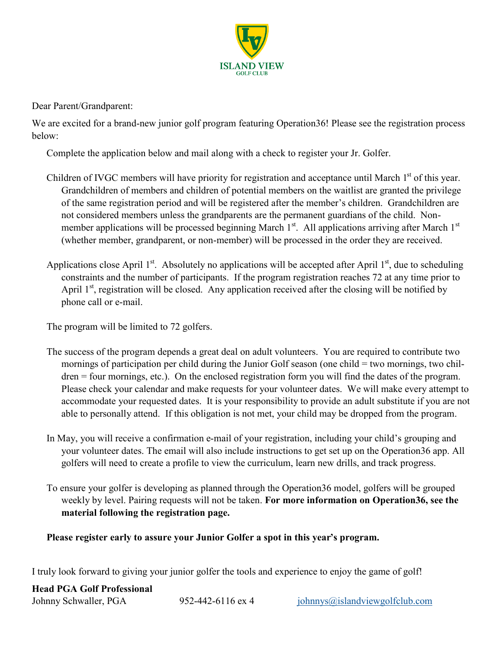

Dear Parent/Grandparent:

We are excited for a brand-new junior golf program featuring Operation 36! Please see the registration process below:

Complete the application below and mail along with a check to register your Jr. Golfer.

- Children of IVGC members will have priority for registration and acceptance until March 1<sup>st</sup> of this year. Grandchildren of members and children of potential members on the waitlist are granted the privilege of the same registration period and will be registered after the member's children. Grandchildren are not considered members unless the grandparents are the permanent guardians of the child. Nonmember applications will be processed beginning March 1<sup>st</sup>. All applications arriving after March 1<sup>st</sup> (whether member, grandparent, or non-member) will be processed in the order they are received.
- Applications close April 1<sup>st</sup>. Absolutely no applications will be accepted after April 1<sup>st</sup>, due to scheduling constraints and the number of participants. If the program registration reaches 72 at any time prior to April  $1<sup>st</sup>$ , registration will be closed. Any application received after the closing will be notified by phone call or e-mail.

The program will be limited to 72 golfers.

- The success of the program depends a great deal on adult volunteers. You are required to contribute two mornings of participation per child during the Junior Golf season (one child = two mornings, two children = four mornings, etc.). On the enclosed registration form you will find the dates of the program. Please check your calendar and make requests for your volunteer dates. We will make every attempt to accommodate your requested dates. It is your responsibility to provide an adult substitute if you are not able to personally attend. If this obligation is not met, your child may be dropped from the program.
- In May, you will receive a confirmation e-mail of your registration, including your child's grouping and your volunteer dates. The email will also include instructions to get set up on the Operation36 app. All golfers will need to create a profile to view the curriculum, learn new drills, and track progress.
- To ensure your golfer is developing as planned through the Operation36 model, golfers will be grouped weekly by level. Pairing requests will not be taken. **For more information on Operation36, see the material following the registration page.**

**Please register early to assure your Junior Golfer a spot in this year's program.**

I truly look forward to giving your junior golfer the tools and experience to enjoy the game of golf!

### **Head PGA Golf Professional**

| Johnny Schwaller, PGA<br>$952 - 442 - 6116$ ex 4 | $\phi$ iohnnys $\omega$ islandviewgolfclub.com |
|--------------------------------------------------|------------------------------------------------|
|--------------------------------------------------|------------------------------------------------|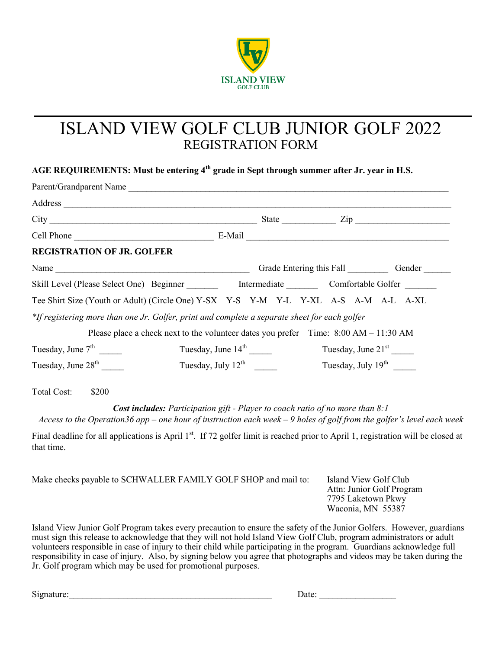

# ISLAND VIEW GOLF CLUB JUNIOR GOLF 2022 REGISTRATION FORM

**AGE REQUIREMENTS: Must be entering 4th grade in Sept through summer after Jr. year in H.S.**

| Parent/Grandparent Name                                                                       |                                                                                      |                                       |
|-----------------------------------------------------------------------------------------------|--------------------------------------------------------------------------------------|---------------------------------------|
| Address                                                                                       |                                                                                      |                                       |
|                                                                                               |                                                                                      | State $\frac{\text{Zip}}{\text{Up}}$  |
|                                                                                               |                                                                                      |                                       |
| <b>REGISTRATION OF JR. GOLFER</b>                                                             |                                                                                      |                                       |
| Name                                                                                          |                                                                                      | Grade Entering this Fall Gender       |
| Skill Level (Please Select One) Beginner Meter Intermediate Comfortable Golfer                |                                                                                      |                                       |
| Tee Shirt Size (Youth or Adult) (Circle One) Y-SX Y-S Y-M Y-L Y-XL A-S A-M A-L A-XL           |                                                                                      |                                       |
| *If registering more than one Jr. Golfer, print and complete a separate sheet for each golfer |                                                                                      |                                       |
|                                                                                               | Please place a check next to the volunteer dates you prefer Time: 8:00 AM - 11:30 AM |                                       |
| Tuesday, June $7th$                                                                           | Tuesday, June $14th$                                                                 | Tuesday, June $21st$                  |
| Tuesday, June $28th$                                                                          | Tuesday, July $12^{th}$                                                              | Tuesday, July 19 <sup>th</sup> ______ |

Total Cost: \$200

*Cost includes: Participation gift - Player to coach ratio of no more than 8:1*

*Access to the Operation36 app – one hour of instruction each week – 9 holes of golf from the golfer's level each week*

Final deadline for all applications is April 1<sup>st</sup>. If 72 golfer limit is reached prior to April 1, registration will be closed at that time.

Make checks payable to SCHWALLER FAMILY GOLF SHOP and mail to: Island View Golf Club Attn: Junior Golf Program 7795 Laketown Pkwy Waconia, MN 55387

Island View Junior Golf Program takes every precaution to ensure the safety of the Junior Golfers. However, guardians must sign this release to acknowledge that they will not hold Island View Golf Club, program administrators or adult volunteers responsible in case of injury to their child while participating in the program. Guardians acknowledge full responsibility in case of injury. Also, by signing below you agree that photographs and videos may be taken during the Jr. Golf program which may be used for promotional purposes.

 $Signature:$   $\Box$